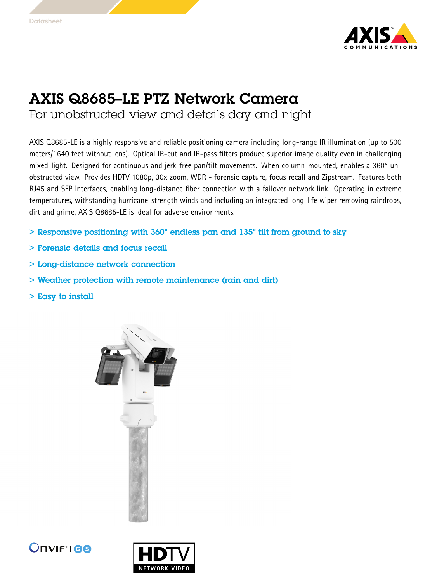

## AXIS Q8685–LE PTZ Network Camera

For unobstructed view and details day and night

AXIS Q8685-LE is <sup>a</sup> highly responsive and reliable positioning camera including long-range IR illumination (up to <sup>500</sup> meters/1640 feet without lens). Optical IR-cut and IR-pass filters produce superior image quality even in challenging mixed-light. Designed for continuous and jerk-free pan/tilt movements. When column-mounted, enables <sup>a</sup> 360° unobstructed view. Provides HDTV 1080p, 30x zoom, WDR - forensic capture, focus recall and Zipstream. Features both RJ45 and SFP interfaces, enabling long-distance fiber connection with <sup>a</sup> failover network link. Operating in extreme temperatures, withstanding hurricane-strength winds and including an integrated long-life wiper removing raindrops, dirt and grime, AXIS Q8685-LE is ideal for adverse environments.

- > Responsive positioning with 360° endless pan and 135° tilt from ground to sky
- > Forensic details and focus recall
- > Long-distance network connection
- > Weather protection with remote maintenance (rain and dirt)
- > Easy to install





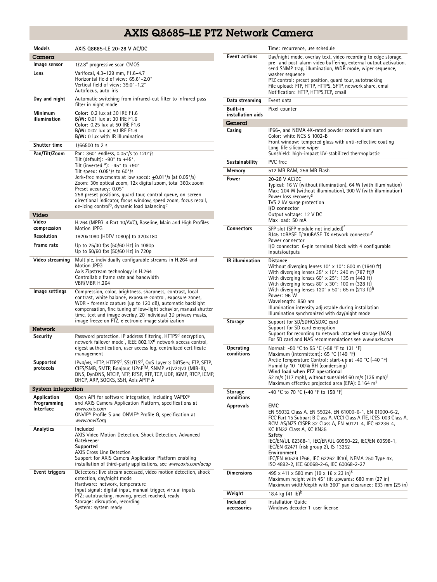## AXIS Q8685–LE PTZ Network Camera

| <b>Models</b>                           | AXIS Q8685-LE 20-28 V AC/DC                                                                                                                                                                                                                                                                                                                                                                                                                                                                                                                |  |
|-----------------------------------------|--------------------------------------------------------------------------------------------------------------------------------------------------------------------------------------------------------------------------------------------------------------------------------------------------------------------------------------------------------------------------------------------------------------------------------------------------------------------------------------------------------------------------------------------|--|
| $C$ amera                               |                                                                                                                                                                                                                                                                                                                                                                                                                                                                                                                                            |  |
| Image sensor                            | 1/2.8" progressive scan CMOS                                                                                                                                                                                                                                                                                                                                                                                                                                                                                                               |  |
| Lens                                    | Varifocal, 4.3-129 mm, F1.6-4.7<br>Horizontal field of view: 65.6°-2.0°<br>Vertical field of view: 39.0°-1.2°<br>Autofocus, auto-iris                                                                                                                                                                                                                                                                                                                                                                                                      |  |
| Day and night                           | Automatic switching from infrared-cut filter to infrared pass<br>filter in night mode                                                                                                                                                                                                                                                                                                                                                                                                                                                      |  |
| Minimum<br>illumination                 | Color: 0.2 lux at 30 IRE F1.6<br><b>B/W:</b> 0.01 lux at 30 IRE F1.6<br>Color: 0.25 lux at 50 IRE F1.6<br>B/W: 0.02 lux at 50 IRE F1.6<br>B/W: 0 lux with IR illumination                                                                                                                                                                                                                                                                                                                                                                  |  |
| <b>Shutter time</b>                     | 1/66500 to 2 s                                                                                                                                                                                                                                                                                                                                                                                                                                                                                                                             |  |
| Pan/Tilt/Zoom                           | Pan: 360° endless, 0.05°/s to 120°/s<br>Tilt (default): $-90^\circ$ to $+45^\circ$ ,<br>Tilt (inverted $a$ ): -45° to +90°<br>Tilt speed: $0.05^{\circ}/s$ to $60^{\circ}/s$<br>Jerk-free movements at low speed: $\pm$ 0.01°/s (at 0.05°/s)<br>Zoom: 30x optical zoom, 12x digital zoom, total 360x zoom<br>Preset accuracy: 0.05°<br>256 preset positions, guard tour, control queue, on-screen<br>directional indicator, focus window, speed zoom, focus recall,<br>de-icing control <sup>b</sup> , dynamic load balancing <sup>c</sup> |  |
| Video                                   |                                                                                                                                                                                                                                                                                                                                                                                                                                                                                                                                            |  |
| Video<br>compression                    | H.264 (MPEG-4 Part 10/AVC), Baseline, Main and High Profiles<br><b>Motion JPEG</b>                                                                                                                                                                                                                                                                                                                                                                                                                                                         |  |
| Resolution                              | 1920x1080 (HDTV 1080p) to 320x180                                                                                                                                                                                                                                                                                                                                                                                                                                                                                                          |  |
| Frame rate                              | Up to 25/30 fps (50/60 Hz) in 1080p<br>Up to 50/60 fps (50/60 Hz) in 720p                                                                                                                                                                                                                                                                                                                                                                                                                                                                  |  |
| Video streaming                         | Multiple, individually configurable streams in H.264 and<br><b>Motion JPEG</b><br>Axis Zipstream technology in H.264<br>Controllable frame rate and bandwidth<br>VBR/MBR H.264                                                                                                                                                                                                                                                                                                                                                             |  |
| lmage settings                          | Compression, color, brightness, sharpness, contrast, local<br>contrast, white balance, exposure control, exposure zones,<br>WDR - forensic capture (up to 120 dB), automatic backlight<br>compensation, fine tuning of low-light behavior, manual shutter<br>time, text and image overlay, 20 individual 3D privacy masks,<br>image freeze on PTZ, electronic image stabilization                                                                                                                                                          |  |
| Network                                 |                                                                                                                                                                                                                                                                                                                                                                                                                                                                                                                                            |  |
| Security                                | Password protection, IP address filtering, HTTPS <sup>d</sup> encryption,<br>network failover mode <sup>t</sup> , IEEE 802.1X <sup>d</sup> network access control,<br>digest authentication, user access log, centralized certificate<br>management                                                                                                                                                                                                                                                                                        |  |
| Supported<br>protocols                  | IPv4/v6, HTTP, HTTPS <sup>d</sup> , SSL/TLS <sup>d</sup> , QoS Layer 3 DiffServ, FTP, SFTP,<br>CIFS/SMB, SMTP, Bonjour, UPnP™, SNMP v1/v2c/v3 (MIB-II),<br>DNS, DynDNS, NTCIP, NTP, RTSP, RTP, TCP, UDP, IGMP, RTCP, ICMP,<br>DHCP, ARP, SOCKS, SSH, Axis APTP A                                                                                                                                                                                                                                                                           |  |
| <b>System integration</b>               |                                                                                                                                                                                                                                                                                                                                                                                                                                                                                                                                            |  |
| Application<br>Programming<br>Interface | Open API for software integration, including VAPIX®<br>and AXIS Camera Application Platform, specifications at<br>www.axis.com<br>ONVIF <sup>®</sup> Profile S and ONVIF® Profile G, specification at<br>www.onvif.org                                                                                                                                                                                                                                                                                                                     |  |
| Analytics                               | Included<br>AXIS Video Motion Detection, Shock Detection, Advanced<br>Gatekeeper<br>Supported<br><b>AXIS Cross Line Detection</b><br>Support for AXIS Camera Application Platform enabling<br>installation of third-party applications, see www.axis.com/acap                                                                                                                                                                                                                                                                              |  |
| Event triggers                          | Detectors: live stream accessed, video motion detection, shock<br>detection, day/night mode<br>Hardware: network, temperature<br>Input signal: digital input, manual trigger, virtual inputs<br>PTZ: autotracking, moving, preset reached, ready<br>Storage: disruption, recording<br>System: system ready                                                                                                                                                                                                                                 |  |

|                              | Time: recurrence, use schedule                                                                                                                                                                                                                                                                                                                                                                                                                                                                            |
|------------------------------|-----------------------------------------------------------------------------------------------------------------------------------------------------------------------------------------------------------------------------------------------------------------------------------------------------------------------------------------------------------------------------------------------------------------------------------------------------------------------------------------------------------|
| <b>Event actions</b>         | Day/night mode, overlay text, video recording to edge storage,<br>pre- and post-alarm video buffering, external output activation,<br>send SNMP trap, illumination, WDR mode, wiper sequence,<br>washer sequence<br>PTZ control: preset position, quard tour, autotracking<br>File upload: FTP, HTTP, HTTPS, SFTP, network share, email<br>Notification: HTTP, HTTPS, TCP, email                                                                                                                          |
| Data streaming               | Event data                                                                                                                                                                                                                                                                                                                                                                                                                                                                                                |
| Built-in                     | Pixel counter                                                                                                                                                                                                                                                                                                                                                                                                                                                                                             |
| installation aids<br>General |                                                                                                                                                                                                                                                                                                                                                                                                                                                                                                           |
| Casing                       | IP66-, and NEMA 4X-rated powder coated aluminum<br>Color: white NCS S 1002-B                                                                                                                                                                                                                                                                                                                                                                                                                              |
|                              | Front window: tempered glass with anti-reflective coating<br>Long-life silicone wiper<br>Sunshield: high-impact UV-stabilized thermoplastic                                                                                                                                                                                                                                                                                                                                                               |
| Sustainability               | PVC free                                                                                                                                                                                                                                                                                                                                                                                                                                                                                                  |
| Memory                       | 512 MB RAM, 256 MB Flash                                                                                                                                                                                                                                                                                                                                                                                                                                                                                  |
| Power                        | 20-28 V AC/DC<br>Typical: 16 W (without illumination), 64 W (with illumination)<br>Max: 204 W (without illumination), 300 W (with illumination)<br>Power loss recovery <sup>e</sup><br>TVS 2 kV surge protection<br>I/O connector<br>Output voltage: 12 V DC<br>Max load: 50 mA                                                                                                                                                                                                                           |
| Connectors                   | SFP slot (SFP module not included) <sup>†</sup><br>RJ45 10BASE-T/100BASE-TX network connectorf<br>Power connector<br>I/O connector: 6-pin terminal block with 4 configurable<br>inputs/outputs                                                                                                                                                                                                                                                                                                            |
| <b>IR</b> illumination       | <b>Distance</b><br>Without diverging lenses $10^{\circ}$ x $10^{\circ}$ : 500 m (1640 ft)<br>With diverging lenses $35^{\circ}$ x 10°: 240 m (787 ft) <sup>g</sup><br>With diverging lenses 60° x 25°: 135 m (443 ft)<br>With diverging lenses 80° x 30°: 100 m (328 ft)<br>With diverging lenses $120^\circ \times 50^\circ$ : 65 m (213 ft) <sup>n</sup><br>Power: 96 W<br>Wavelength: 850 nm<br>Illumination intensity adjustable during installation<br>Illumination synchronized with day/night mode |
| Storage                      | Support for SD/SDHC/SDXC card<br>Support for SD card encryption<br>Support for recording to network-attached storage (NAS)<br>For SD card and NAS recommendations see www.axis.com                                                                                                                                                                                                                                                                                                                        |
| Operating<br>conditions      | Normal: -50 °C to 55 °C (-58 °F to 131 °F)<br>Maximum (intermittent): 65 °C (149 °F)<br>Arctic Temperature Control: start-up at -40 °C (-40 °F)<br>Humidity 10-100% RH (condensing)<br>Wind load when PTZ operational<br>52 m/s (117 mph), without sunshield 60 m/s (135 mph) <sup>i</sup><br>Maximum effective projected area (EPA): 0.164 m <sup>2</sup>                                                                                                                                                |
| Storage<br>conditions        | -40 °C to 70 °C (-40 °F to 158 °F)                                                                                                                                                                                                                                                                                                                                                                                                                                                                        |
| <b>Approvals</b>             | EMC<br>EN 55032 Class A, EN 55024, EN 61000-6-1, EN 61000-6-2,<br>FCC Part 15 Subpart B Class A, VCCI Class A ITE, ICES-003 Class A,<br>RCM AS/NZS CISPR 32 Class A, EN 50121-4, IEC 62236-4,<br>KC KN32 Class A, KC KN35<br>Safety<br>IEC/EN/UL 62368-1, IEC/EN/UL 60950-22, IEC/EN 60598-1,<br>IEC/EN 62471 (risk group 2), IS 13252<br>Environment<br>IEC/EN 60529 IP66, IEC 62262 IK10 <sup>J</sup> , NEMA 250 Type 4x,<br>ISO 4892-2, IEC 60068-2-6, IEC 60068-2-27                                  |
| <b>Dimensions</b>            | 495 x 411 x 580 mm (19 x 16 x 23 in) <sup>k</sup><br>Maximum height with 45° tilt upwards: 680 mm (27 in)<br>Maximum width/depth with 360° pan clearance: 633 mm (25 in)                                                                                                                                                                                                                                                                                                                                  |
| Weight                       | 18.4 kg $(41 \text{ lb})^k$                                                                                                                                                                                                                                                                                                                                                                                                                                                                               |
| Included<br>accessories      | Installation Guide<br>Windows decoder 1-user license                                                                                                                                                                                                                                                                                                                                                                                                                                                      |